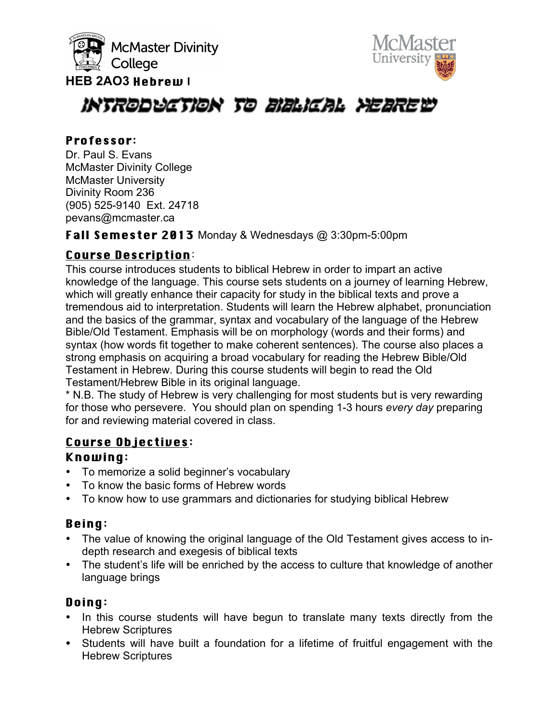





# INTRODUCTION TO BIBLICAL YEAREW

#### Professor.

Dr. Paul S. Evans McMaster Divinity College McMaster University Divinity Room 236 (905) 525-9140 Ext. 24718 pevans@mcmaster.ca

Fall Semester 2013 Monday & Wednesdays @ 3:30pm-5:00pm

# Course Description.

This course introduces students to biblical Hebrew in order to impart an active knowledge of the language. This course sets students on a journey of learning Hebrew, which will greatly enhance their capacity for study in the biblical texts and prove a tremendous aid to interpretation. Students will learn the Hebrew alphabet, pronunciation and the basics of the grammar, syntax and vocabulary of the language of the Hebrew Bible/Old Testament. Emphasis will be on morphology (words and their forms) and syntax (how words fit together to make coherent sentences). The course also places a strong emphasis on acquiring a broad vocabulary for reading the Hebrew Bible/Old Testament in Hebrew. During this course students will begin to read the Old Testament/Hebrew Bible in its original language.

\* N.B. The study of Hebrew is very challenging for most students but is very rewarding for those who persevere. You should plan on spending 1-3 hours *every day* preparing for and reviewing material covered in class.

# Course Objectives:

# Knowing.

- To memorize a solid beginner's vocabulary
- To know the basic forms of Hebrew words
- To know how to use grammars and dictionaries for studying biblical Hebrew

# Being.

- The value of knowing the original language of the Old Testament gives access to indepth research and exegesis of biblical texts
- The student's life will be enriched by the access to culture that knowledge of another language brings

# Doing.

- In this course students will have begun to translate many texts directly from the Hebrew Scriptures
- Students will have built a foundation for a lifetime of fruitful engagement with the Hebrew Scriptures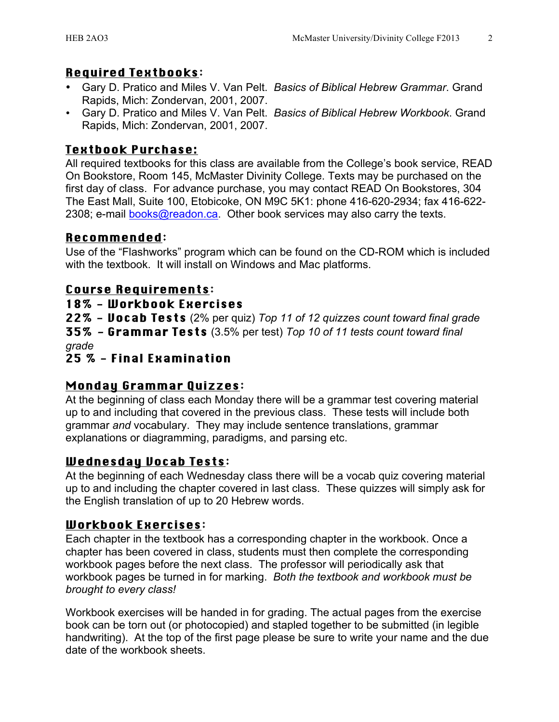#### Required Textbooks.

- Gary D. Pratico and Miles V. Van Pelt. *Basics of Biblical Hebrew Grammar*. Grand Rapids, Mich: Zondervan, 2001, 2007.
- Gary D. Pratico and Miles V. Van Pelt. *Basics of Biblical Hebrew Workbook*. Grand Rapids, Mich: Zondervan, 2001, 2007.

# Textbook Purchase:

All required textbooks for this class are available from the College's book service, READ On Bookstore, Room 145, McMaster Divinity College. Texts may be purchased on the first day of class. For advance purchase, you may contact READ On Bookstores, 304 The East Mall, Suite 100, Etobicoke, ON M9C 5K1: phone 416-620-2934; fax 416-622- 2308; e-mail books@readon.ca. Other book services may also carry the texts.

# Recommended.

Use of the "Flashworks" program which can be found on the CD-ROM which is included with the textbook. It will install on Windows and Mac platforms.

# Course Requirements.

#### 18% - Workbook Exercises

22% - Vocab Tests (2% per quiz) *Top 11 of 12 quizzes count toward final grade* 35% - Grammar Tests (3.5% per test) *Top 10 of 11 tests count toward final grade*

#### 25 % - Final Examination

# Monday Grammar Quizzes.

At the beginning of class each Monday there will be a grammar test covering material up to and including that covered in the previous class. These tests will include both grammar *and* vocabulary. They may include sentence translations, grammar explanations or diagramming, paradigms, and parsing etc.

# Wednesday Vocab Tests:

At the beginning of each Wednesday class there will be a vocab quiz covering material up to and including the chapter covered in last class. These quizzes will simply ask for the English translation of up to 20 Hebrew words.

#### Workbook Exercises.

Each chapter in the textbook has a corresponding chapter in the workbook. Once a chapter has been covered in class, students must then complete the corresponding workbook pages before the next class. The professor will periodically ask that workbook pages be turned in for marking. *Both the textbook and workbook must be brought to every class!*

Workbook exercises will be handed in for grading. The actual pages from the exercise book can be torn out (or photocopied) and stapled together to be submitted (in legible handwriting). At the top of the first page please be sure to write your name and the due date of the workbook sheets.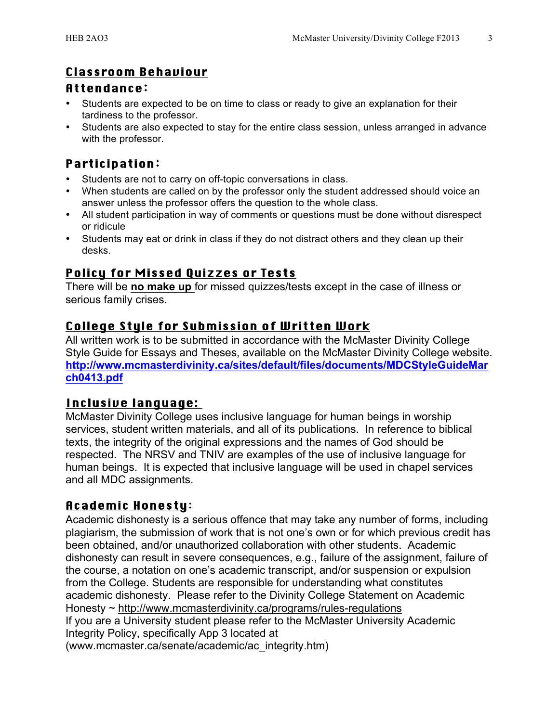# Classroom Behaviour

#### Attendance.

- Students are expected to be on time to class or ready to give an explanation for their tardiness to the professor.
- Students are also expected to stay for the entire class session, unless arranged in advance with the professor.

# **Participation:**

- Students are not to carry on off-topic conversations in class.
- When students are called on by the professor only the student addressed should voice an answer unless the professor offers the question to the whole class.
- All student participation in way of comments or questions must be done without disrespect or ridicule
- Students may eat or drink in class if they do not distract others and they clean up their desks.

# Policy for Missed Quizzes or Tests

There will be **no make up** for missed quizzes/tests except in the case of illness or serious family crises.

#### College Style for Submission of Written Work

All written work is to be submitted in accordance with the McMaster Divinity College Style Guide for Essays and Theses, available on the McMaster Divinity College website. **http://www.mcmasterdivinity.ca/sites/default/files/documents/MDCStyleGuideMar ch0413.pdf**

#### Inclusive language:

McMaster Divinity College uses inclusive language for human beings in worship services, student written materials, and all of its publications. In reference to biblical texts, the integrity of the original expressions and the names of God should be respected. The NRSV and TNIV are examples of the use of inclusive language for human beings. It is expected that inclusive language will be used in chapel services and all MDC assignments.

# Academic Honesty.

Academic dishonesty is a serious offence that may take any number of forms, including plagiarism, the submission of work that is not one's own or for which previous credit has been obtained, and/or unauthorized collaboration with other students. Academic dishonesty can result in severe consequences, e.g., failure of the assignment, failure of the course, a notation on one's academic transcript, and/or suspension or expulsion from the College. Students are responsible for understanding what constitutes academic dishonesty. Please refer to the Divinity College Statement on Academic Honesty ~ http://www.mcmasterdivinity.ca/programs/rules-regulations If you are a University student please refer to the McMaster University Academic Integrity Policy, specifically App 3 located at (www.mcmaster.ca/senate/academic/ac\_integrity.htm)